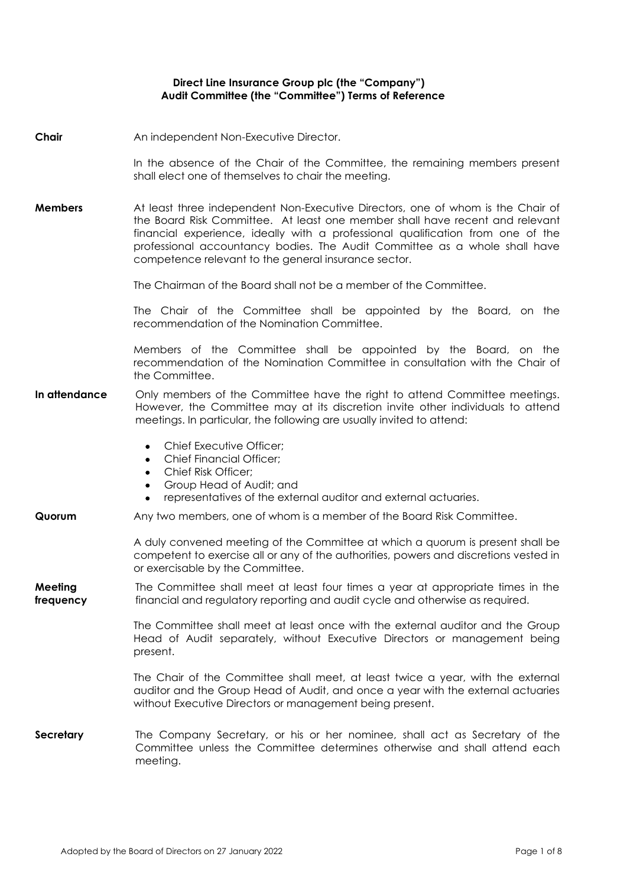## **Direct Line Insurance Group plc (the "Company") Audit Committee (the "Committee") Terms of Reference**

## **Chair** An independent Non-Executive Director.

In the absence of the Chair of the Committee, the remaining members present shall elect one of themselves to chair the meeting.

**Members** At least three independent Non-Executive Directors, one of whom is the Chair of the Board Risk Committee. At least one member shall have recent and relevant financial experience, ideally with a professional qualification from one of the professional accountancy bodies. The Audit Committee as a whole shall have competence relevant to the general insurance sector.

The Chairman of the Board shall not be a member of the Committee.

The Chair of the Committee shall be appointed by the Board, on the recommendation of the Nomination Committee.

Members of the Committee shall be appointed by the Board, on the recommendation of the Nomination Committee in consultation with the Chair of the Committee.

## In attendance Only members of the Committee have the right to attend Committee meetings. However, the Committee may at its discretion invite other individuals to attend meetings. In particular, the following are usually invited to attend:

- Chief Executive Officer:
- Chief Financial Officer;
- Chief Risk Officer;
- Group Head of Audit; and
- representatives of the external auditor and external actuaries.

## **Quorum** Any two members, one of whom is a member of the Board Risk Committee.

A duly convened meeting of the Committee at which a quorum is present shall be competent to exercise all or any of the authorities, powers and discretions vested in or exercisable by the Committee.

#### **Meeting frequency** The Committee shall meet at least four times a year at appropriate times in the financial and regulatory reporting and audit cycle and otherwise as required.

The Committee shall meet at least once with the external auditor and the Group Head of Audit separately, without Executive Directors or management being present.

The Chair of the Committee shall meet, at least twice a year, with the external auditor and the Group Head of Audit, and once a year with the external actuaries without Executive Directors or management being present.

**Secretary** The Company Secretary, or his or her nominee, shall act as Secretary of the Committee unless the Committee determines otherwise and shall attend each meeting.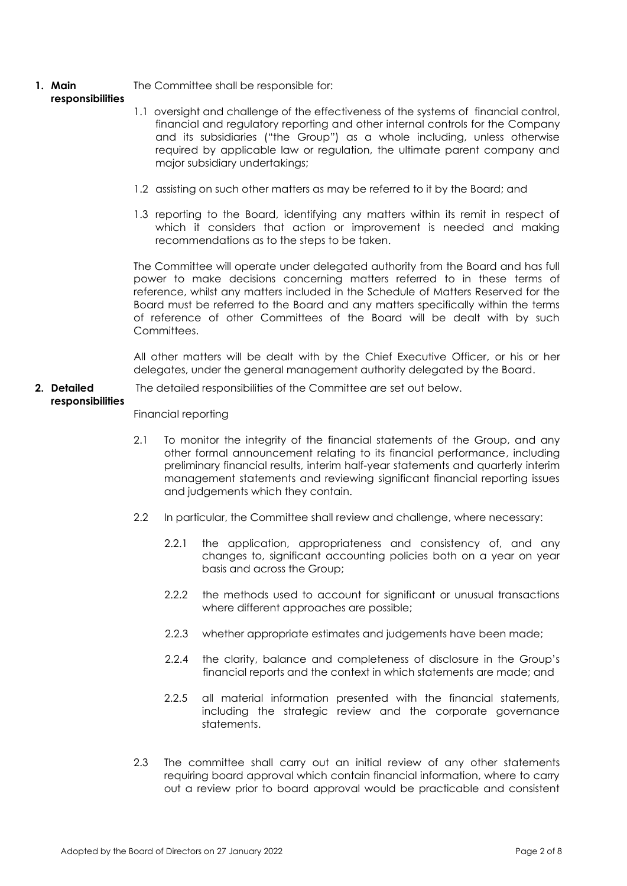### **1. Main**  The Committee shall be responsible for:

# **responsibilities**

- 1.1 oversight and challenge of the effectiveness of the systems of financial control, financial and regulatory reporting and other internal controls for the Company and its subsidiaries ("the Group") as a whole including, unless otherwise required by applicable law or regulation, the ultimate parent company and major subsidiary undertakings;
- 1.2 assisting on such other matters as may be referred to it by the Board; and
- 1.3 reporting to the Board, identifying any matters within its remit in respect of which it considers that action or improvement is needed and making recommendations as to the steps to be taken.

The Committee will operate under delegated authority from the Board and has full power to make decisions concerning matters referred to in these terms of reference, whilst any matters included in the Schedule of Matters Reserved for the Board must be referred to the Board and any matters specifically within the terms of reference of other Committees of the Board will be dealt with by such **Committees** 

All other matters will be dealt with by the Chief Executive Officer, or his or her delegates, under the general management authority delegated by the Board.

### **2. Detailed responsibilities** The detailed responsibilities of the Committee are set out below.

Financial reporting

- 2.1 To monitor the integrity of the financial statements of the Group, and any other formal announcement relating to its financial performance, including preliminary financial results, interim half-year statements and quarterly interim management statements and reviewing significant financial reporting issues and judgements which they contain.
- 2.2 In particular, the Committee shall review and challenge, where necessary:
	- 2.2.1 the application, appropriateness and consistency of, and any changes to, significant accounting policies both on a year on year basis and across the Group;
	- 2.2.2 the methods used to account for significant or unusual transactions where different approaches are possible;
	- 2.2.3 whether appropriate estimates and judgements have been made;
	- 2.2.4 the clarity, balance and completeness of disclosure in the Group's financial reports and the context in which statements are made; and
	- 2.2.5 all material information presented with the financial statements, including the strategic review and the corporate governance statements.
- 2.3 The committee shall carry out an initial review of any other statements requiring board approval which contain financial information, where to carry out a review prior to board approval would be practicable and consistent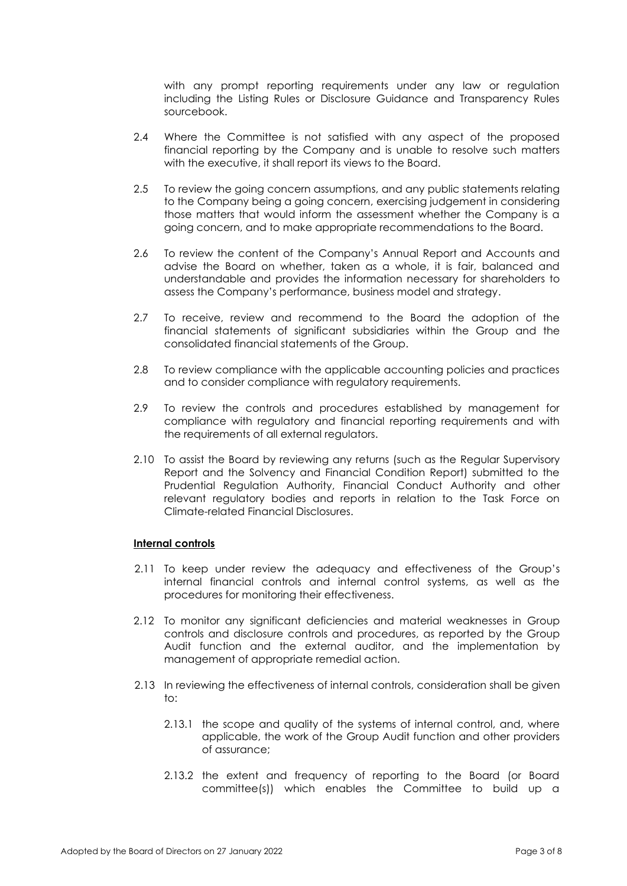with any prompt reporting requirements under any law or regulation including the Listing Rules or Disclosure Guidance and Transparency Rules sourcebook.

- 2.4 Where the Committee is not satisfied with any aspect of the proposed financial reporting by the Company and is unable to resolve such matters with the executive, it shall report its views to the Board.
- 2.5 To review the going concern assumptions, and any public statements relating to the Company being a going concern, exercising judgement in considering those matters that would inform the assessment whether the Company is a going concern, and to make appropriate recommendations to the Board.
- 2.6 To review the content of the Company's Annual Report and Accounts and advise the Board on whether, taken as a whole, it is fair, balanced and understandable and provides the information necessary for shareholders to assess the Company's performance, business model and strategy.
- 2.7 To receive, review and recommend to the Board the adoption of the financial statements of significant subsidiaries within the Group and the consolidated financial statements of the Group.
- 2.8 To review compliance with the applicable accounting policies and practices and to consider compliance with regulatory requirements.
- 2.9 To review the controls and procedures established by management for compliance with regulatory and financial reporting requirements and with the requirements of all external regulators.
- 2.10 To assist the Board by reviewing any returns (such as the Regular Supervisory Report and the Solvency and Financial Condition Report) submitted to the Prudential Regulation Authority, Financial Conduct Authority and other relevant regulatory bodies and reports in relation to the Task Force on Climate-related Financial Disclosures.

## **Internal controls**

- 2.11 To keep under review the adequacy and effectiveness of the Group's internal financial controls and internal control systems, as well as the procedures for monitoring their effectiveness.
- 2.12 To monitor any significant deficiencies and material weaknesses in Group controls and disclosure controls and procedures, as reported by the Group Audit function and the external auditor, and the implementation by management of appropriate remedial action.
- 2.13 In reviewing the effectiveness of internal controls, consideration shall be given to:
	- 2.13.1 the scope and quality of the systems of internal control, and, where applicable, the work of the Group Audit function and other providers of assurance;
	- 2.13.2 the extent and frequency of reporting to the Board (or Board committee(s)) which enables the Committee to build up a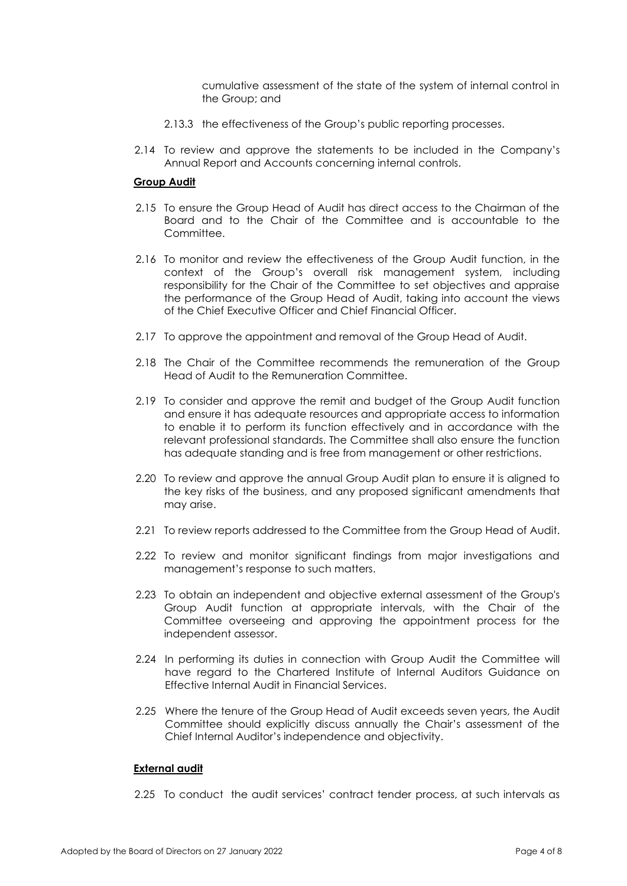cumulative assessment of the state of the system of internal control in the Group; and

- 2.13.3 the effectiveness of the Group's public reporting processes.
- 2.14 To review and approve the statements to be included in the Company's Annual Report and Accounts concerning internal controls.

## **Group Audit**

- 2.15 To ensure the Group Head of Audit has direct access to the Chairman of the Board and to the Chair of the Committee and is accountable to the Committee.
- 2.16 To monitor and review the effectiveness of the Group Audit function, in the context of the Group's overall risk management system, including responsibility for the Chair of the Committee to set objectives and appraise the performance of the Group Head of Audit, taking into account the views of the Chief Executive Officer and Chief Financial Officer.
- 2.17 To approve the appointment and removal of the Group Head of Audit.
- 2.18 The Chair of the Committee recommends the remuneration of the Group Head of Audit to the Remuneration Committee.
- 2.19 To consider and approve the remit and budget of the Group Audit function and ensure it has adequate resources and appropriate access to information to enable it to perform its function effectively and in accordance with the relevant professional standards. The Committee shall also ensure the function has adequate standing and is free from management or other restrictions.
- 2.20 To review and approve the annual Group Audit plan to ensure it is aligned to the key risks of the business, and any proposed significant amendments that may arise.
- 2.21 To review reports addressed to the Committee from the Group Head of Audit.
- 2.22 To review and monitor significant findings from major investigations and management's response to such matters.
- 2.23 To obtain an independent and objective external assessment of the Group's Group Audit function at appropriate intervals, with the Chair of the Committee overseeing and approving the appointment process for the independent assessor.
- 2.24 In performing its duties in connection with Group Audit the Committee will have regard to the Chartered Institute of Internal Auditors Guidance on Effective Internal Audit in Financial Services.
- 2.25 Where the tenure of the Group Head of Audit exceeds seven years, the Audit Committee should explicitly discuss annually the Chair's assessment of the Chief Internal Auditor's independence and objectivity.

## **External audit**

2.25 To conduct the audit services' contract tender process, at such intervals as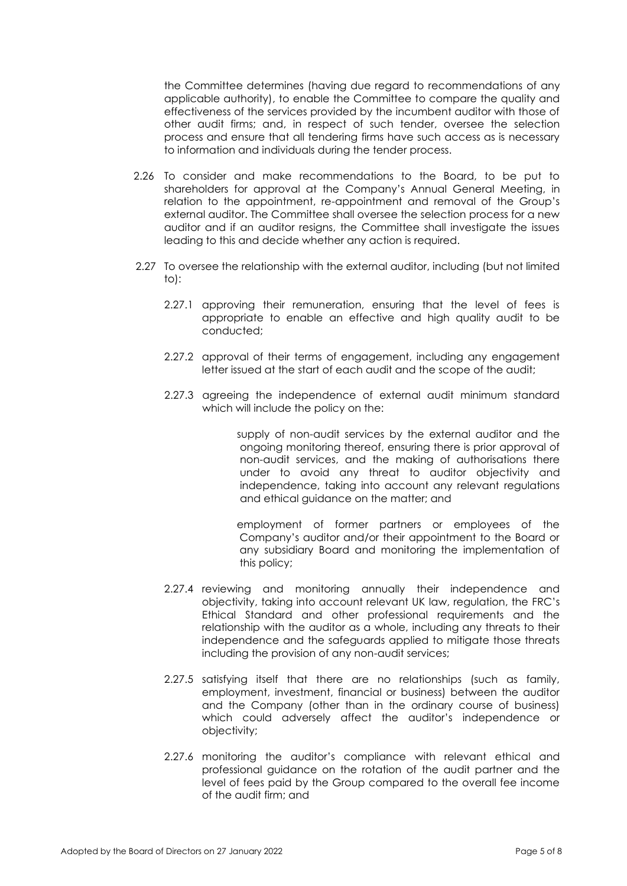the Committee determines (having due regard to recommendations of any applicable authority), to enable the Committee to compare the quality and effectiveness of the services provided by the incumbent auditor with those of other audit firms; and, in respect of such tender, oversee the selection process and ensure that all tendering firms have such access as is necessary to information and individuals during the tender process.

- 2.26 To consider and make recommendations to the Board, to be put to shareholders for approval at the Company's Annual General Meeting, in relation to the appointment, re-appointment and removal of the Group's external auditor. The Committee shall oversee the selection process for a new auditor and if an auditor resigns, the Committee shall investigate the issues leading to this and decide whether any action is required.
- 2.27 To oversee the relationship with the external auditor, including (but not limited to):
	- 2.27.1 approving their remuneration, ensuring that the level of fees is appropriate to enable an effective and high quality audit to be conducted;
	- 2.27.2 approval of their terms of engagement, including any engagement letter issued at the start of each audit and the scope of the audit;
	- 2.27.3 agreeing the independence of external audit minimum standard which will include the policy on the:

 supply of non-audit services by the external auditor and the ongoing monitoring thereof, ensuring there is prior approval of non-audit services, and the making of authorisations there under to avoid any threat to auditor objectivity and independence, taking into account any relevant regulations and ethical guidance on the matter; and

 employment of former partners or employees of the Company's auditor and/or their appointment to the Board or any subsidiary Board and monitoring the implementation of this policy;

- 2.27.4 reviewing and monitoring annually their independence and objectivity, taking into account relevant UK law, regulation, the FRC's Ethical Standard and other professional requirements and the relationship with the auditor as a whole, including any threats to their independence and the safeguards applied to mitigate those threats including the provision of any non-audit services;
- 2.27.5 satisfying itself that there are no relationships (such as family, employment, investment, financial or business) between the auditor and the Company (other than in the ordinary course of business) which could adversely affect the auditor's independence or objectivity;
- 2.27.6 monitoring the auditor's compliance with relevant ethical and professional guidance on the rotation of the audit partner and the level of fees paid by the Group compared to the overall fee income of the audit firm; and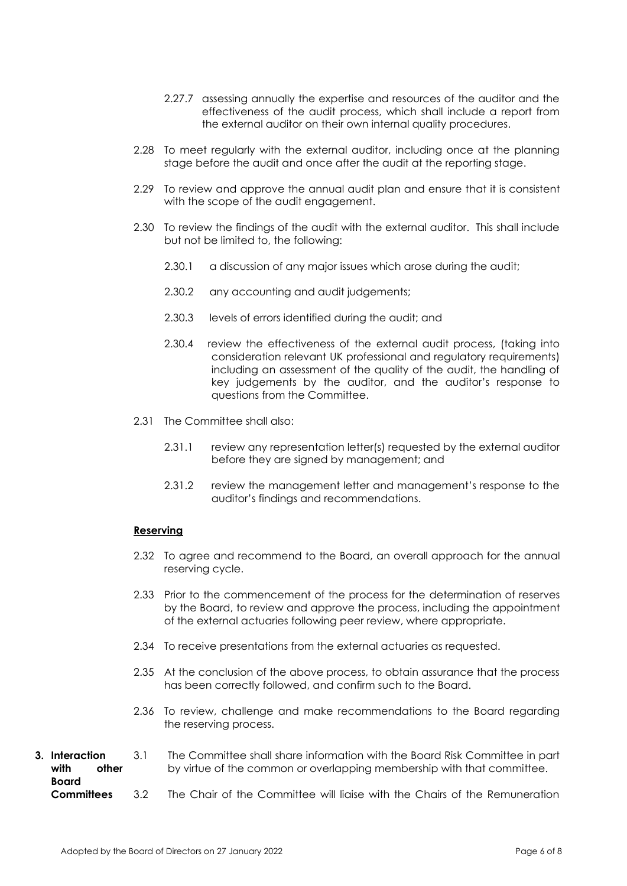- 2.27.7 assessing annually the expertise and resources of the auditor and the effectiveness of the audit process, which shall include a report from the external auditor on their own internal quality procedures.
- 2.28 To meet regularly with the external auditor, including once at the planning stage before the audit and once after the audit at the reporting stage.
- 2.29 To review and approve the annual audit plan and ensure that it is consistent with the scope of the audit engagement.
- 2.30 To review the findings of the audit with the external auditor. This shall include but not be limited to, the following:
	- 2.30.1 a discussion of any major issues which arose during the audit;
	- 2.30.2 any accounting and audit judgements;
	- 2.30.3 levels of errors identified during the audit; and
	- 2.30.4 review the effectiveness of the external audit process, (taking into consideration relevant UK professional and regulatory requirements) including an assessment of the quality of the audit, the handling of key judgements by the auditor, and the auditor's response to questions from the Committee.
- 2.31 The Committee shall also:
	- 2.31.1 review any representation letter(s) requested by the external auditor before they are signed by management; and
	- 2.31.2 review the management letter and management's response to the auditor's findings and recommendations.

## **Reserving**

- 2.32 To agree and recommend to the Board, an overall approach for the annual reserving cycle.
- 2.33 Prior to the commencement of the process for the determination of reserves by the Board, to review and approve the process, including the appointment of the external actuaries following peer review, where appropriate.
- 2.34 To receive presentations from the external actuaries as requested.
- 2.35 At the conclusion of the above process, to obtain assurance that the process has been correctly followed, and confirm such to the Board.
- 2.36 To review, challenge and make recommendations to the Board regarding the reserving process.
- **3. Interaction with other Board Committees**  3.1 3.2 The Committee shall share information with the Board Risk Committee in part by virtue of the common or overlapping membership with that committee. The Chair of the Committee will liaise with the Chairs of the Remuneration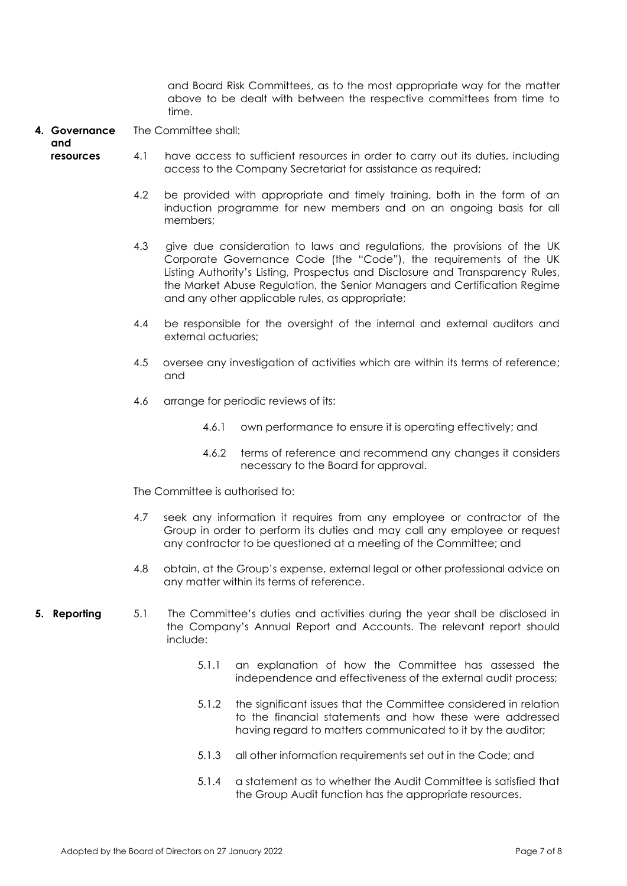and Board Risk Committees, as to the most appropriate way for the matter above to be dealt with between the respective committees from time to time.

**4. Governance**  The Committee shall:

**and resources**

- 4.1 have access to sufficient resources in order to carry out its duties, including access to the Company Secretariat for assistance as required;
	- 4.2 be provided with appropriate and timely training, both in the form of an induction programme for new members and on an ongoing basis for all members;
	- 4.3 give due consideration to laws and regulations, the provisions of the UK Corporate Governance Code (the "Code"), the requirements of the UK Listing Authority's Listing, Prospectus and Disclosure and Transparency Rules, the Market Abuse Regulation, the Senior Managers and Certification Regime and any other applicable rules, as appropriate;
	- 4.4 be responsible for the oversight of the internal and external auditors and external actuaries;
	- 4.5 oversee any investigation of activities which are within its terms of reference; and
	- 4.6 arrange for periodic reviews of its:
		- 4.6.1 own performance to ensure it is operating effectively; and
		- 4.6.2 terms of reference and recommend any changes it considers necessary to the Board for approval.

The Committee is authorised to:

- 4.7 seek any information it requires from any employee or contractor of the Group in order to perform its duties and may call any employee or request any contractor to be questioned at a meeting of the Committee; and
- 4.8 obtain, at the Group's expense, external legal or other professional advice on any matter within its terms of reference.
- **5. Reporting** 5.1 The Committee's duties and activities during the year shall be disclosed in the Company's Annual Report and Accounts. The relevant report should include:
	- 5.1.1 an explanation of how the Committee has assessed the independence and effectiveness of the external audit process;
	- 5.1.2 the significant issues that the Committee considered in relation to the financial statements and how these were addressed having regard to matters communicated to it by the auditor;
	- 5.1.3 all other information requirements set out in the Code; and
	- 5.1.4 a statement as to whether the Audit Committee is satisfied that the Group Audit function has the appropriate resources.